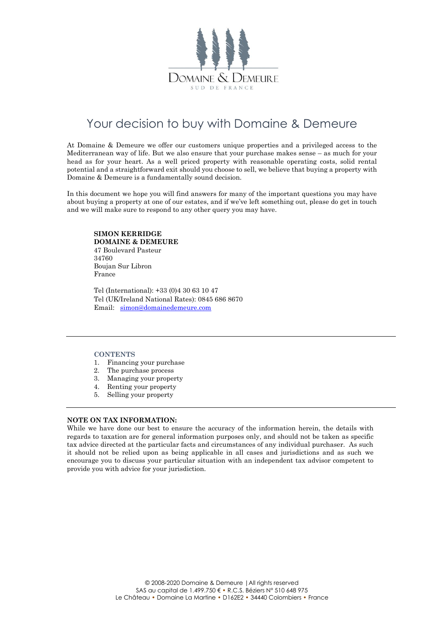

## Your decision to buy with Domaine & Demeure

At Domaine & Demeure we offer our customers unique properties and a privileged access to the Mediterranean way of life. But we also ensure that your purchase makes sense – as much for your head as for your heart. As a well priced property with reasonable operating costs, solid rental potential and a straightforward exit should you choose to sell, we believe that buying a property with Domaine & Demeure is a fundamentally sound decision.

In this document we hope you will find answers for many of the important questions you may have about buying a property at one of our estates, and if we've left something out, please do get in touch and we will make sure to respond to any other query you may have.

#### **SIMON KERRIDGE DOMAINE & DEMEURE**

47 Boulevard Pasteur 34760 Boujan Sur Libron France

Tel (International): +33 (0)4 30 63 10 47 Tel (UK/Ireland National Rates): 0845 686 8670 Email: [simon@domainedemeure.com](mailto:simon@domainedemeure.com)

#### **CONTENTS**

- 1. Financing your purchase
- 2. The purchase process
- 3. Managing your property
- 4. Renting your property
- 5. Selling your property

#### **NOTE ON TAX INFORMATION:**

While we have done our best to ensure the accuracy of the information herein, the details with regards to taxation are for general information purposes only, and should not be taken as specific tax advice directed at the particular facts and circumstances of any individual purchaser. As such it should not be relied upon as being applicable in all cases and jurisdictions and as such we encourage you to discuss your particular situation with an independent tax advisor competent to provide you with advice for your jurisdiction.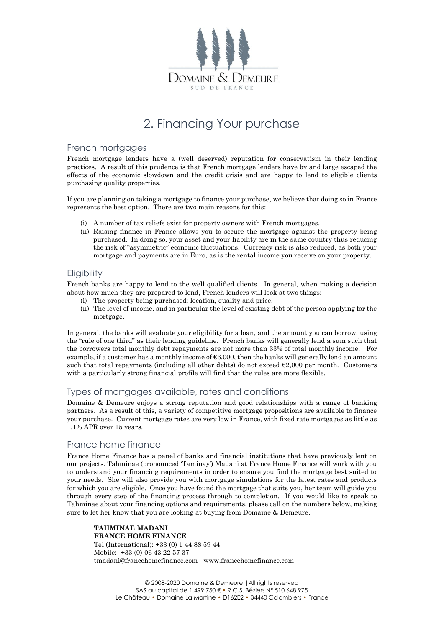

# 2. Financing Your purchase

### French mortgages

French mortgage lenders have a (well deserved) reputation for conservatism in their lending practices. A result of this prudence is that French mortgage lenders have by and large escaped the effects of the economic slowdown and the credit crisis and are happy to lend to eligible clients purchasing quality properties.

If you are planning on taking a mortgage to finance your purchase, we believe that doing so in France represents the best option. There are two main reasons for this:

- (i) A number of tax reliefs exist for property owners with French mortgages.
- (ii) Raising finance in France allows you to secure the mortgage against the property being purchased. In doing so, your asset and your liability are in the same country thus reducing the risk of "asymmetric" economic fluctuations. Currency risk is also reduced, as both your mortgage and payments are in Euro, as is the rental income you receive on your property.

### **Eligibility**

French banks are happy to lend to the well qualified clients. In general, when making a decision about how much they are prepared to lend, French lenders will look at two things:

- (i) The property being purchased: location, quality and price.
- (ii) The level of income, and in particular the level of existing debt of the person applying for the mortgage.

In general, the banks will evaluate your eligibility for a loan, and the amount you can borrow, using the "rule of one third" as their lending guideline. French banks will generally lend a sum such that the borrowers total monthly debt repayments are not more than 33% of total monthly income. For example, if a customer has a monthly income of €6,000, then the banks will generally lend an amount such that total repayments (including all other debts) do not exceed  $\epsilon$ 2,000 per month. Customers with a particularly strong financial profile will find that the rules are more flexible.

### Types of mortgages available, rates and conditions

Domaine & Demeure enjoys a strong reputation and good relationships with a range of banking partners. As a result of this, a variety of competitive mortgage propositions are available to finance your purchase. Current mortgage rates are very low in France, with fixed rate mortgages as little as 1.1% APR over 15 years.

### France home finance

France Home Finance has a panel of banks and financial institutions that have previously lent on our projects. Tahminae (pronounced 'Taminay') Madani at France Home Finance will work with you to understand your financing requirements in order to ensure you find the mortgage best suited to your needs. She will also provide you with mortgage simulations for the latest rates and products for which you are eligible. Once you have found the mortgage that suits you, her team will guide you through every step of the financing process through to completion. If you would like to speak to Tahminae about your financing options and requirements, please call on the numbers below, making sure to let her know that you are looking at buying from Domaine & Demeure.

**TAHMINAE MADANI FRANCE HOME FINANCE** Tel (International): +33 (0) 1 44 88 59 44 Mobile: +33 (0) 06 43 22 57 37 [tmadani@francehomefinance.com](mailto:tmadani@francehomefinance.com) [www.francehomefinance.com](http://www.francehomefinance.com/)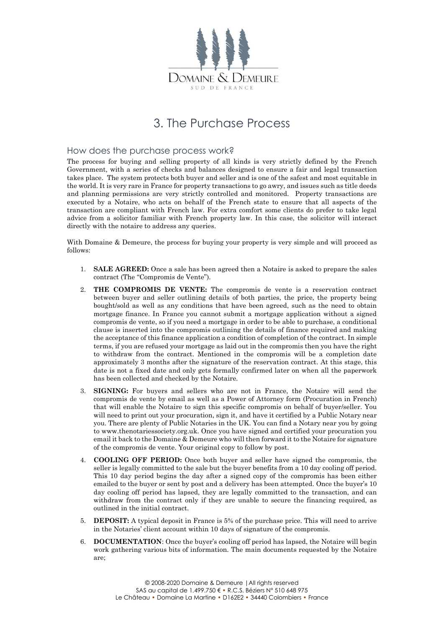

## 3. The Purchase Process

### How does the purchase process work?

The process for buying and selling property of all kinds is very strictly defined by the French Government, with a series of checks and balances designed to ensure a fair and legal transaction takes place. The system protects both buyer and seller and is one of the safest and most equitable in the world. It is very rare in France for property transactions to go awry, and issues such as title deeds and planning permissions are very strictly controlled and monitored. Property transactions are executed by a Notaire, who acts on behalf of the French state to ensure that all aspects of the transaction are compliant with French law. For extra comfort some clients do prefer to take legal advice from a solicitor familiar with French property law. In this case, the solicitor will interact directly with the notaire to address any queries.

With Domaine & Demeure, the process for buying your property is very simple and will proceed as follows:

- 1. **SALE AGREED:** Once a sale has been agreed then a Notaire is asked to prepare the sales contract (The "Compromis de Vente").
- 2. **THE COMPROMIS DE VENTE:** The compromis de vente is a reservation contract between buyer and seller outlining details of both parties, the price, the property being bought/sold as well as any conditions that have been agreed, such as the need to obtain mortgage finance. In France you cannot submit a mortgage application without a signed compromis de vente, so if you need a mortgage in order to be able to purchase, a conditional clause is inserted into the compromis outlining the details of finance required and making the acceptance of this finance application a condition of completion of the contract. In simple terms, if you are refused your mortgage as laid out in the compromis then you have the right to withdraw from the contract. Mentioned in the compromis will be a completion date approximately 3 months after the signature of the reservation contract. At this stage, this date is not a fixed date and only gets formally confirmed later on when all the paperwork has been collected and checked by the Notaire.
- 3. **SIGNING:** For buyers and sellers who are not in France, the Notaire will send the compromis de vente by email as well as a Power of Attorney form (Procuration in French) that will enable the Notaire to sign this specific compromis on behalf of buyer/seller. You will need to print out your procuration, sign it, and have it certified by a Public Notary near you. There are plenty of Public Notaries in the UK. You can find a Notary near you by going to www.thenotariessociety.org.uk. Once you have signed and certified your procuration you email it back to the Domaine & Demeure who will then forward it to the Notaire for signature of the compromis de vente. Your original copy to follow by post.
- 4. **COOLING OFF PERIOD:** Once both buyer and seller have signed the compromis, the seller is legally committed to the sale but the buyer benefits from a 10 day cooling off period. This 10 day period begins the day after a signed copy of the compromis has been either emailed to the buyer or sent by post and a delivery has been attempted. Once the buyer's 10 day cooling off period has lapsed, they are legally committed to the transaction, and can withdraw from the contract only if they are unable to secure the financing required, as outlined in the initial contract.
- 5. **DEPOSIT:** A typical deposit in France is 5% of the purchase price. This will need to arrive in the Notaries' client account within 10 days of signature of the compromis.
- 6. **DOCUMENTATION**: Once the buyer's cooling off period has lapsed, the Notaire will begin work gathering various bits of information. The main documents requested by the Notaire are;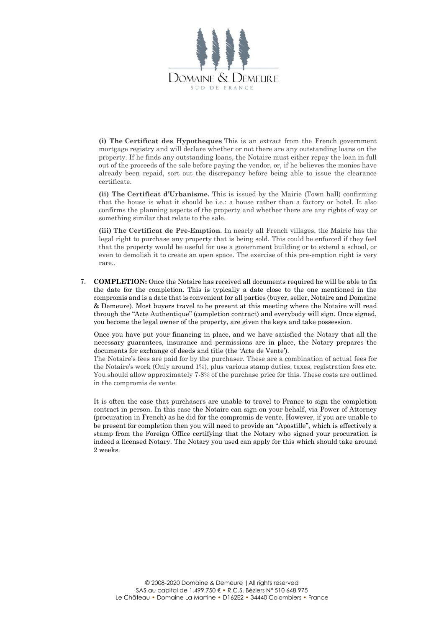

**(i) The Certificat des Hypotheques** This is an extract from the French government mortgage registry and will declare whether or not there are any outstanding loans on the property. If he finds any outstanding loans, the Notaire must either repay the loan in full out of the proceeds of the sale before paying the vendor, or, if he believes the monies have already been repaid, sort out the discrepancy before being able to issue the clearance certificate.

**(ii) The Certificat d'Urbanisme.** This is issued by the Mairie (Town hall) confirming that the house is what it should be i.e.: a house rather than a factory or hotel. It also confirms the planning aspects of the property and whether there are any rights of way or something similar that relate to the sale.

**(iii) The Certificat de Pre-Emption**. In nearly all French villages, the Mairie has the legal right to purchase any property that is being sold. This could be enforced if they feel that the property would be useful for use a government building or to extend a school, or even to demolish it to create an open space. The exercise of this pre-emption right is very rare..

7. **COMPLETION:** Once the Notaire has received all documents required he will be able to fix the date for the completion. This is typically a date close to the one mentioned in the compromis and is a date that is convenient for all parties (buyer, seller, Notaire and Domaine & Demeure). Most buyers travel to be present at this meeting where the Notaire will read through the "Acte Authentique" (completion contract) and everybody will sign. Once signed, you become the legal owner of the property, are given the keys and take possession.

Once you have put your financing in place, and we have satisfied the Notary that all the necessary guarantees, insurance and permissions are in place, the Notary prepares the documents for exchange of deeds and title (the 'Acte de Vente').

The Notaire's fees are paid for by the purchaser. These are a combination of actual fees for the Notaire's work (Only around 1%), plus various stamp duties, taxes, registration fees etc. You should allow approximately 7-8% of the purchase price for this. These costs are outlined in the compromis de vente.

It is often the case that purchasers are unable to travel to France to sign the completion contract in person. In this case the Notaire can sign on your behalf, via Power of Attorney (procuration in French) as he did for the compromis de vente. However, if you are unable to be present for completion then you will need to provide an "Apostille", which is effectively a stamp from the Foreign Office certifying that the Notary who signed your procuration is indeed a licensed Notary. The Notary you used can apply for this which should take around 2 weeks.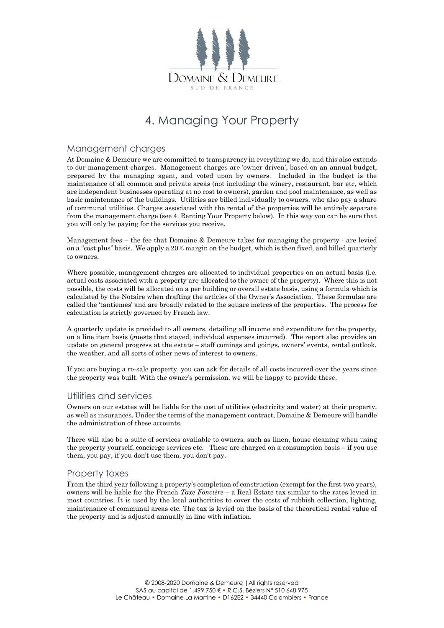

# 4. Managing Your Property

#### Management charges

At Domaine & Demeure we are committed to transparency in everything we do, and this also extends to our management charges. Management charges are 'owner driven', based on an annual budget, prepared by the managing agent, and voted upon by owners. Included in the budget is the maintenance of all common and private areas (not including the winery, restaurant, bar etc, which are independent businesses operating at no cost to owners), garden and pool maintenance, as well as basic maintenance of the buildings. Utilities are billed individually to owners, who also pay a share of communal utilities. Charges associated with the rental of the properties will be entirely separate from the management charge (see 4. Renting Your Property below). In this way you can be sure that you will only be paying for the services you receive.

Management fees – the fee that Domaine & Demeure takes for managing the property - are levied on a "cost plus" basis. We apply a 20% margin on the budget, which is then fixed, and billed quarterly to owners.

Where possible, management charges are allocated to individual properties on an actual basis (i.e. actual costs associated with a property are allocated to the owner of the property). Where this is not possible, the costs will be allocated on a per building or overall estate basis, using a formula which is calculated by the Notaire when drafting the articles of the Owner's Association. These formulae are called the 'tantiemes' and are broadly related to the square metres of the properties. The process for calculation is strictly governed by French law.

A quarterly update is provided to all owners, detailing all income and expenditure for the property, on a line item basis (guests that stayed, individual expenses incurred). The report also provides an update on general progress at the estate – staff comings and goings, owners' events, rental outlook, the weather, and all sorts of other news of interest to owners.

If you are buying a re-sale property, you can ask for details of all costs incurred over the years since the property was built. With the owner's permission, we will be happy to provide these.

### Utilities and services

Owners on our estates will be liable for the cost of utilities (electricity and water) at their property, as well as insurances. Under the terms of the management contract, Domaine & Demeure will handle the administration of these accounts.

There will also be a suite of services available to owners, such as linen, house cleaning when using the property yourself, concierge services etc. These are charged on a consumption basis – if you use them, you pay, if you don't use them, you don't pay.

### Property taxes

From the third year following a property's completion of construction (exempt for the first two years), owners will be liable for the French *Taxe Foncière* – a Real Estate tax similar to the rates levied in most countries. It is used by the local authorities to cover the costs of rubbish collection, lighting, maintenance of communal areas etc. The tax is levied on the basis of the theoretical rental value of the property and is adjusted annually in line with inflation.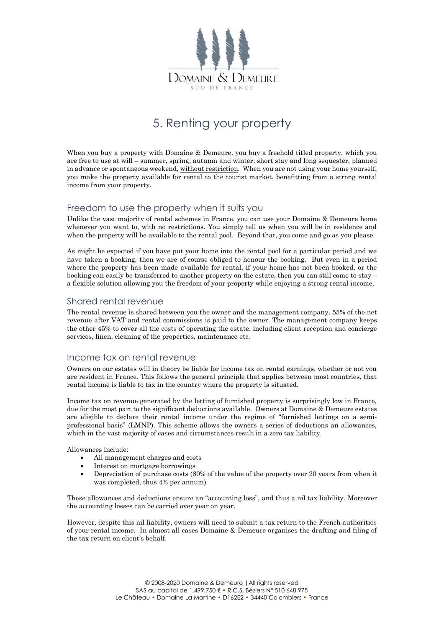

## 5. Renting your property

When you buy a property with Domaine & Demeure, you buy a freehold titled property, which you are free to use at will – summer, spring, autumn and winter; short stay and long sequester, planned in advance or spontaneous weekend, without restriction. When you are not using your home yourself, you make the property available for rental to the tourist market, benefitting from a strong rental income from your property.

### Freedom to use the property when it suits you

Unlike the vast majority of rental schemes in France, you can use your Domaine & Demeure home whenever you want to, with no restrictions. You simply tell us when you will be in residence and when the property will be available to the rental pool. Beyond that, you come and go as you please.

As might be expected if you have put your home into the rental pool for a particular period and we have taken a booking, then we are of course obliged to honour the booking. But even in a period where the property has been made available for rental, if your home has not been booked, or the booking can easily be transferred to another property on the estate, then you can still come to stay – a flexible solution allowing you the freedom of your property while enjoying a strong rental income.

### Shared rental revenue

The rental revenue is shared between you the owner and the management company. 55% of the net revenue after VAT and rental commissions is paid to the owner. The management company keeps the other 45% to cover all the costs of operating the estate, including client reception and concierge services, linen, cleaning of the properties, maintenance etc.

### Income tax on rental revenue

Owners on our estates will in theory be liable for income tax on rental earnings, whether or not you are resident in France. This follows the general principle that applies between most countries, that rental income is liable to tax in the country where the property is situated.

Income tax on revenue generated by the letting of furnished property is surprisingly low in France, due for the most part to the significant deductions available. Owners at Domaine & Demeure estates are eligible to declare their rental income under the regime of "furnished lettings on a semiprofessional basis" (LMNP). This scheme allows the owners a series of deductions an allowances, which in the vast majority of cases and circumstances result in a zero tax liability.

Allowances include:

- All management charges and costs
- Interest on mortgage borrowings
- Depreciation of purchase costs (80% of the value of the property over 20 years from when it was completed, thus 4% per annum)

These allowances and deductions ensure an "accounting loss", and thus a nil tax liability. Moreover the accounting losses can be carried over year on year.

However, despite this nil liability, owners will need to submit a tax return to the French authorities of your rental income. In almost all cases Domaine & Demeure organises the drafting and filing of the tax return on client's behalf.